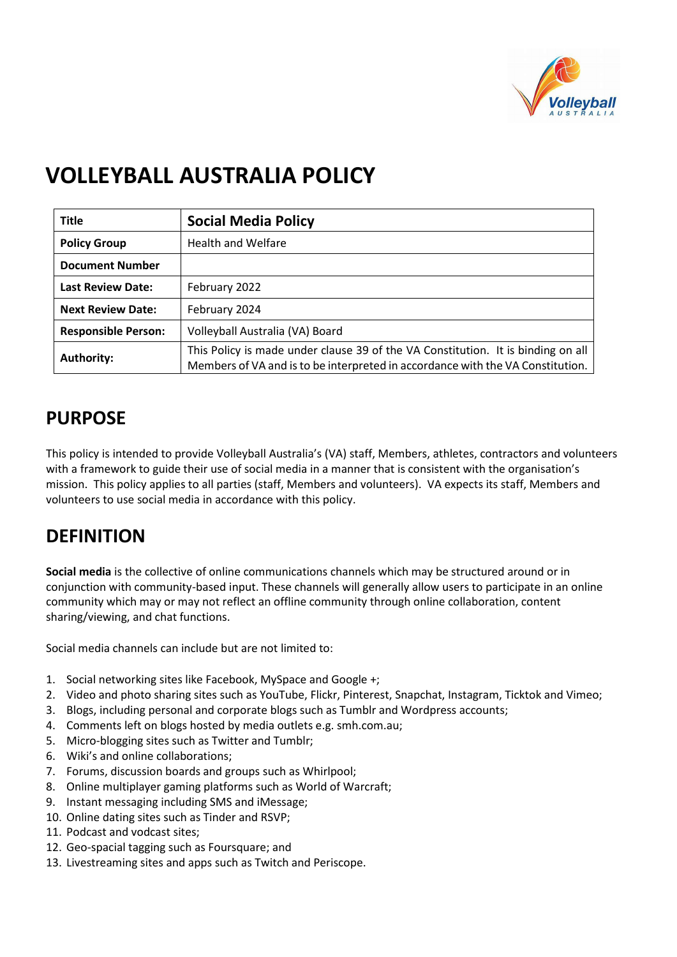

# **VOLLEYBALL AUSTRALIA POLICY**

| <b>Title</b>               | <b>Social Media Policy</b>                                                                                                                                         |
|----------------------------|--------------------------------------------------------------------------------------------------------------------------------------------------------------------|
| <b>Policy Group</b>        | <b>Health and Welfare</b>                                                                                                                                          |
| <b>Document Number</b>     |                                                                                                                                                                    |
| <b>Last Review Date:</b>   | February 2022                                                                                                                                                      |
| <b>Next Review Date:</b>   | February 2024                                                                                                                                                      |
| <b>Responsible Person:</b> | Volleyball Australia (VA) Board                                                                                                                                    |
| <b>Authority:</b>          | This Policy is made under clause 39 of the VA Constitution. It is binding on all<br>Members of VA and is to be interpreted in accordance with the VA Constitution. |

## **PURPOSE**

This policy is intended to provide Volleyball Australia's (VA) staff, Members, athletes, contractors and volunteers with a framework to guide their use of social media in a manner that is consistent with the organisation's mission. This policy applies to all parties (staff, Members and volunteers). VA expects its staff, Members and volunteers to use social media in accordance with this policy.

#### **DEFINITION**

**Social media** is the collective of online communications channels which may be structured around or in conjunction with community-based input. These channels will generally allow users to participate in an online community which may or may not reflect an offline community through online collaboration, content sharing/viewing, and chat functions.

Social media channels can include but are not limited to:

- 1. Social networking sites like Facebook, MySpace and Google +;
- 2. Video and photo sharing sites such as YouTube, Flickr, Pinterest, Snapchat, Instagram, Ticktok and Vimeo;
- 3. Blogs, including personal and corporate blogs such as Tumblr and Wordpress accounts;
- 4. Comments left on blogs hosted by media outlets e.g. smh.com.au;
- 5. Micro-blogging sites such as Twitter and Tumblr;
- 6. Wiki's and online collaborations;
- 7. Forums, discussion boards and groups such as Whirlpool;
- 8. Online multiplayer gaming platforms such as World of Warcraft;
- 9. Instant messaging including SMS and iMessage;
- 10. Online dating sites such as Tinder and RSVP;
- 11. Podcast and vodcast sites;
- 12. Geo-spacial tagging such as Foursquare; and
- 13. Livestreaming sites and apps such as Twitch and Periscope.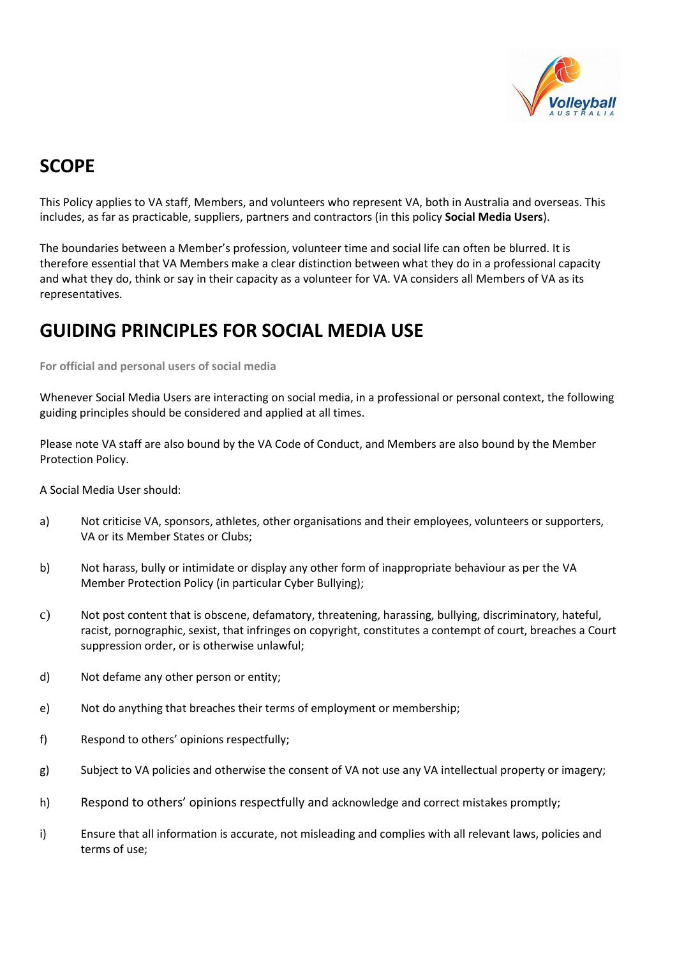

#### **SCOPE**

This Policy applies to VA staff, Members, and volunteers who represent VA, both in Australia and overseas. This includes, as far as practicable, suppliers, partners and contractors (in this policy **Social Media Users**).

The boundaries between a Member's profession, volunteer time and social life can often be blurred. It is therefore essential that VA Members make a clear distinction between what they do in a professional capacity and what they do, think or say in their capacity as a volunteer for VA. VA considers all Members of VA as its representatives.

#### **GUIDING PRINCIPLES FOR SOCIAL MEDIA USE**

**For official and personal users of social media** 

Whenever Social Media Users are interacting on social media, in a professional or personal context, the following guiding principles should be considered and applied at all times.

Please note VA staff are also bound by the VA Code of Conduct, and Members are also bound by the Member Protection Policy.

A Social Media User should:

- a) Not criticise VA, sponsors, athletes, other organisations and their employees, volunteers or supporters, VA or its Member States or Clubs;
- b) Not harass, bully or intimidate or display any other form of inappropriate behaviour as per the VA Member Protection Policy (in particular Cyber Bullying);
- c) Not post content that is obscene, defamatory, threatening, harassing, bullying, discriminatory, hateful, racist, pornographic, sexist, that infringes on copyright, constitutes a contempt of court, breaches a Court suppression order, or is otherwise unlawful;
- d) Not defame any other person or entity;
- e) Not do anything that breaches their terms of employment or membership;
- f) Respond to others' opinions respectfully;
- g) Subject to VA policies and otherwise the consent of VA not use any VA intellectual property or imagery;
- h) Respond to others' opinions respectfully and acknowledge and correct mistakes promptly;
- i) Ensure that all information is accurate, not misleading and complies with all relevant laws, policies and terms of use;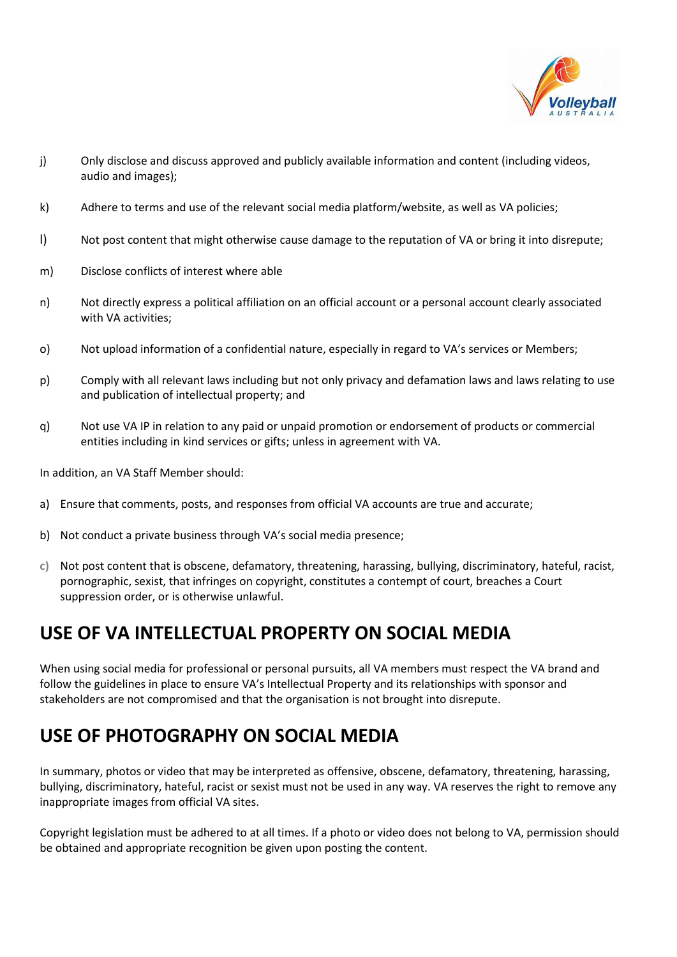

- j) Only disclose and discuss approved and publicly available information and content (including videos, audio and images);
- k) Adhere to terms and use of the relevant social media platform/website, as well as VA policies;
- l) Not post content that might otherwise cause damage to the reputation of VA or bring it into disrepute;
- m) Disclose conflicts of interest where able
- n) Not directly express a political affiliation on an official account or a personal account clearly associated with VA activities;
- o) Not upload information of a confidential nature, especially in regard to VA's services or Members;
- p) Comply with all relevant laws including but not only privacy and defamation laws and laws relating to use and publication of intellectual property; and
- q) Not use VA IP in relation to any paid or unpaid promotion or endorsement of products or commercial entities including in kind services or gifts; unless in agreement with VA.

In addition, an VA Staff Member should:

- a) Ensure that comments, posts, and responses from official VA accounts are true and accurate;
- b) Not conduct a private business through VA's social media presence;
- **c)** Not post content that is obscene, defamatory, threatening, harassing, bullying, discriminatory, hateful, racist, pornographic, sexist, that infringes on copyright, constitutes a contempt of court, breaches a Court suppression order, or is otherwise unlawful.

#### **USE OF VA INTELLECTUAL PROPERTY ON SOCIAL MEDIA**

When using social media for professional or personal pursuits, all VA members must respect the VA brand and follow the guidelines in place to ensure VA's Intellectual Property and its relationships with sponsor and stakeholders are not compromised and that the organisation is not brought into disrepute.

#### **USE OF PHOTOGRAPHY ON SOCIAL MEDIA**

In summary, photos or video that may be interpreted as offensive, obscene, defamatory, threatening, harassing, bullying, discriminatory, hateful, racist or sexist must not be used in any way. VA reserves the right to remove any inappropriate images from official VA sites.

Copyright legislation must be adhered to at all times. If a photo or video does not belong to VA, permission should be obtained and appropriate recognition be given upon posting the content.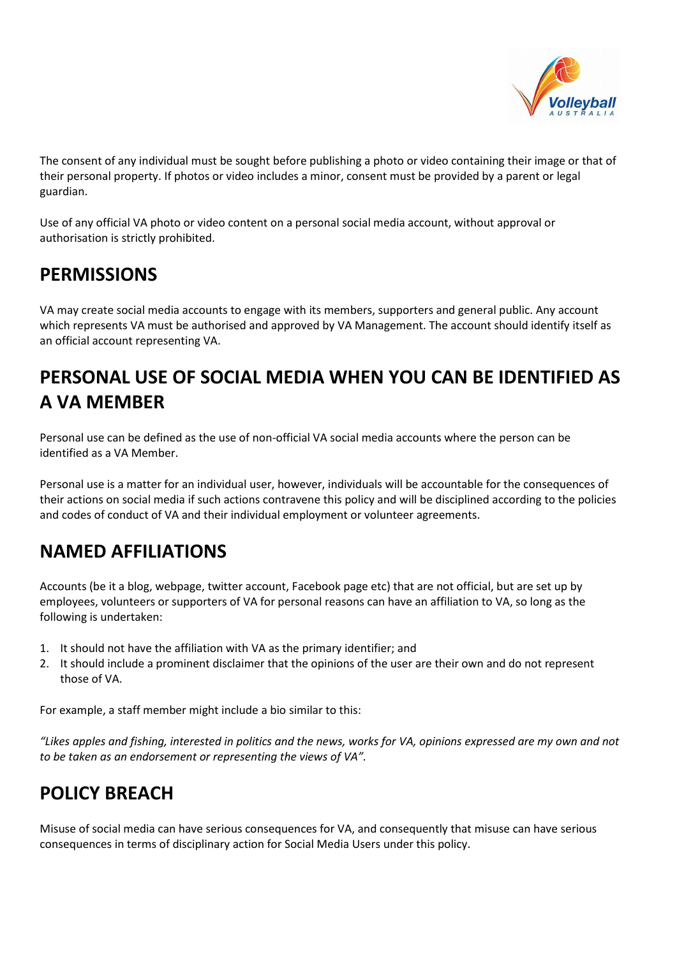

The consent of any individual must be sought before publishing a photo or video containing their image or that of their personal property. If photos or video includes a minor, consent must be provided by a parent or legal guardian.

Use of any official VA photo or video content on a personal social media account, without approval or authorisation is strictly prohibited.

## **PERMISSIONS**

VA may create social media accounts to engage with its members, supporters and general public. Any account which represents VA must be authorised and approved by VA Management. The account should identify itself as an official account representing VA.

# **PERSONAL USE OF SOCIAL MEDIA WHEN YOU CAN BE IDENTIFIED AS A VA MEMBER**

Personal use can be defined as the use of non-official VA social media accounts where the person can be identified as a VA Member.

Personal use is a matter for an individual user, however, individuals will be accountable for the consequences of their actions on social media if such actions contravene this policy and will be disciplined according to the policies and codes of conduct of VA and their individual employment or volunteer agreements.

#### **NAMED AFFILIATIONS**

Accounts (be it a blog, webpage, twitter account, Facebook page etc) that are not official, but are set up by employees, volunteers or supporters of VA for personal reasons can have an affiliation to VA, so long as the following is undertaken:

- 1. It should not have the affiliation with VA as the primary identifier; and
- 2. It should include a prominent disclaimer that the opinions of the user are their own and do not represent those of VA.

For example, a staff member might include a bio similar to this:

*"Likes apples and fishing, interested in politics and the news, works for VA, opinions expressed are my own and not to be taken as an endorsement or representing the views of VA".* 

# **POLICY BREACH**

Misuse of social media can have serious consequences for VA, and consequently that misuse can have serious consequences in terms of disciplinary action for Social Media Users under this policy.